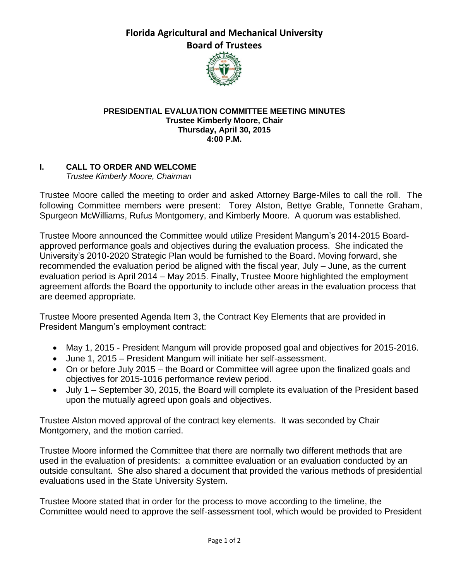**Florida Agricultural and Mechanical University Board of Trustees**



## **PRESIDENTIAL EVALUATION COMMITTEE MEETING MINUTES Trustee Kimberly Moore, Chair Thursday, April 30, 2015 4:00 P.M.**

## **I. CALL TO ORDER AND WELCOME**

*Trustee Kimberly Moore, Chairman*

Trustee Moore called the meeting to order and asked Attorney Barge-Miles to call the roll. The following Committee members were present: Torey Alston, Bettye Grable, Tonnette Graham, Spurgeon McWilliams, Rufus Montgomery, and Kimberly Moore. A quorum was established.

Trustee Moore announced the Committee would utilize President Mangum's 2014-2015 Boardapproved performance goals and objectives during the evaluation process. She indicated the University's 2010-2020 Strategic Plan would be furnished to the Board. Moving forward, she recommended the evaluation period be aligned with the fiscal year, July – June, as the current evaluation period is April 2014 – May 2015. Finally, Trustee Moore highlighted the employment agreement affords the Board the opportunity to include other areas in the evaluation process that are deemed appropriate.

Trustee Moore presented Agenda Item 3, the Contract Key Elements that are provided in President Mangum's employment contract:

- May 1, 2015 President Mangum will provide proposed goal and objectives for 2015-2016.
- June 1, 2015 President Mangum will initiate her self-assessment.
- On or before July 2015 the Board or Committee will agree upon the finalized goals and objectives for 2015-1016 performance review period.
- July 1 September 30, 2015, the Board will complete its evaluation of the President based upon the mutually agreed upon goals and objectives.

Trustee Alston moved approval of the contract key elements. It was seconded by Chair Montgomery, and the motion carried.

Trustee Moore informed the Committee that there are normally two different methods that are used in the evaluation of presidents: a committee evaluation or an evaluation conducted by an outside consultant. She also shared a document that provided the various methods of presidential evaluations used in the State University System.

Trustee Moore stated that in order for the process to move according to the timeline, the Committee would need to approve the self-assessment tool, which would be provided to President